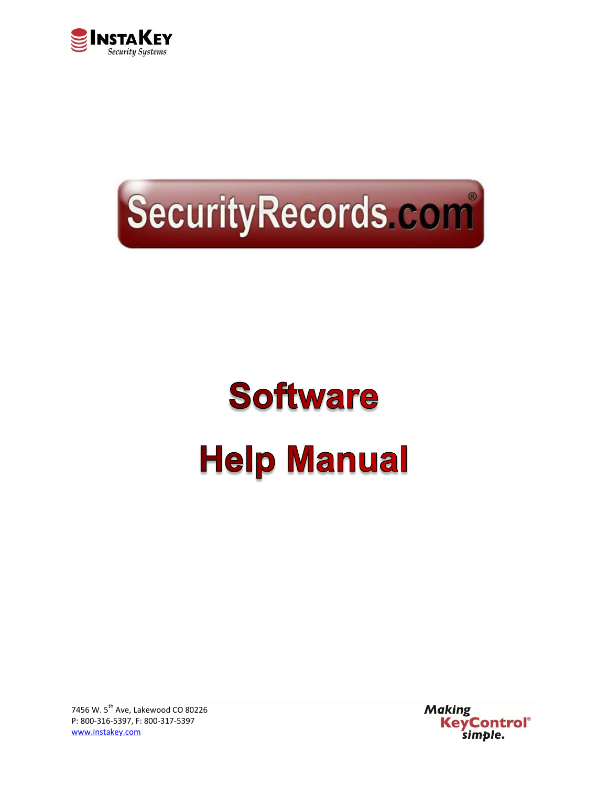



# **Software Help Manual**

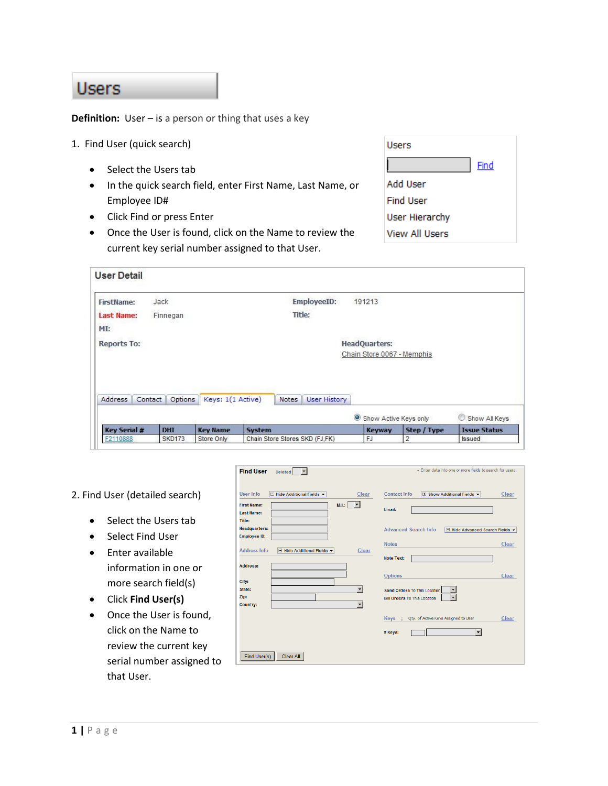#### **Users**

**Definition:** User – is a person or thing tha[t uses](http://dictionary.reference.com/browse/use) a key

- 1. Find User (quick search)
	- Select the Users tab
	- In the quick search field, enter First Name, Last Name, or Employee ID#
	- Click Find or press Enter
	- Once the User is found, click on the Name to review the current key serial number assigned to that User.

| Users                 |      |
|-----------------------|------|
|                       | Find |
| Add User              |      |
| <b>Find User</b>      |      |
| <b>User Hierarchy</b> |      |
| <b>View All Users</b> |      |

| <b>FirstName:</b>   | Jack               |                   | EmployeeID:           | 191213                     |             |                     |
|---------------------|--------------------|-------------------|-----------------------|----------------------------|-------------|---------------------|
| <b>Last Name:</b>   | Finnegan           |                   | Title:                |                            |             |                     |
| MI:                 |                    |                   |                       |                            |             |                     |
| <b>Reports To:</b>  |                    |                   |                       | <b>HeadQuarters:</b>       |             |                     |
|                     |                    |                   |                       | Chain Store 0067 - Memphis |             |                     |
|                     |                    |                   |                       |                            |             |                     |
|                     |                    |                   |                       |                            |             |                     |
|                     |                    |                   |                       |                            |             |                     |
|                     |                    |                   |                       |                            |             |                     |
| Address             | Options<br>Contact | Keys: 1(1 Active) | User History<br>Notes |                            |             |                     |
|                     |                    |                   |                       | Show Active Keys only      |             | Show All Keys       |
| <b>Key Serial #</b> | <b>DHI</b>         | <b>Key Name</b>   | System                | <b>Keyway</b>              | Step / Type | <b>Issue Status</b> |

- 2. Find User (detailed search)
	- Select the Users tab
	- Select Find User
	- **•** Enter available information in one or more search field(s)
	- Click **Find User(s)**
	- Once the User is found, click on the Name to review the current key serial number assigned to that User.

| User Info<br>$\Box$ Hide Additional Fields $\blacktriangleright$<br>Clear           | Contact Info<br>$\Box$ Show Additional Fields $\blacktriangleright$<br>Clear |
|-------------------------------------------------------------------------------------|------------------------------------------------------------------------------|
| M.L: $\vert \cdot \vert$<br><b>First Name:</b><br><b>Last Name:</b>                 | Email:                                                                       |
| <b>Title:</b><br><b>Headquarters:</b><br><b>Employee ID:</b>                        | <b>Advanced Search Info</b><br>□ Hide Advanced Search Fields ▼               |
| <b>Address Info</b><br>Clear<br>$\Box$ Hide Additional Fields $\blacktriangleright$ | <b>Notes</b><br>Clear                                                        |
| <b>Address:</b>                                                                     | <b>Note Text:</b>                                                            |
| City:<br>State:                                                                     | <b>Options</b><br>Clear<br>Send Orders To This Location                      |
| Zip:<br><b>Country:</b>                                                             | <b>Bill Orders To This Location</b>                                          |
|                                                                                     | Qty. of Active Keys Assigned to User<br>Clear<br>Keys ;                      |
|                                                                                     | # Keys:                                                                      |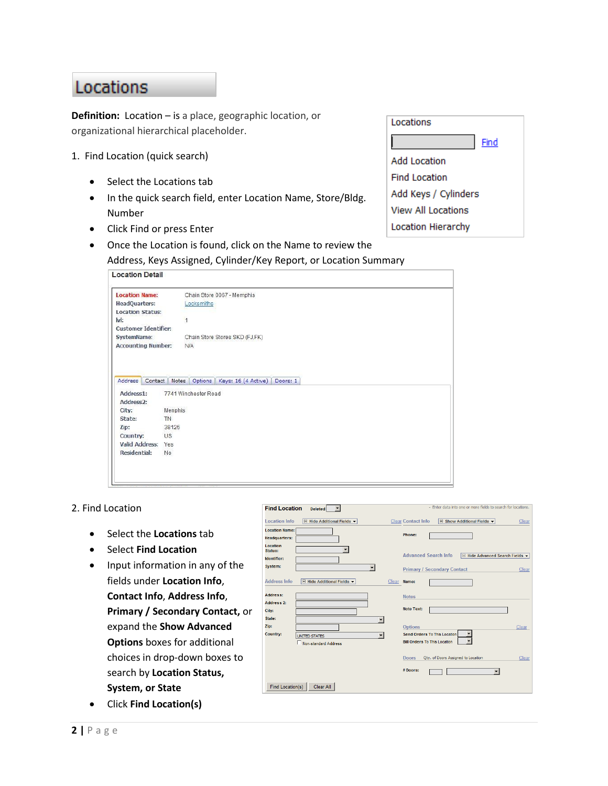## Locations

**Definition:** Location – is a place, geographic location, or organizational hierarchical placeholder.

- 1. Find Location (quick search)
	- Select the Locations tab
	- In the quick search field, enter Location Name, Store/Bldg. Number
	- Click Find or press Enter
	- Once the Location is found, click on the Name to review the
		- Address, Keys Assigned, Cylinder/Key Report, or Location Summary

| Locations                 |
|---------------------------|
| Find                      |
| Add Location              |
| <b>Find Location</b>      |
| Add Keys / Cylinders      |
| View All Locations        |
| <b>Location Hierarchy</b> |

| <b>Location Name:</b>       | Chain Store 0067 - Memphis                                         |
|-----------------------------|--------------------------------------------------------------------|
| HeadQuarters:               | Locksmiths                                                         |
| <b>Location Status:</b>     |                                                                    |
| lvl:                        | $\overline{1}$                                                     |
| <b>Customer Identifier:</b> |                                                                    |
| SystemName:                 | Chain Store Stores SKD (FJ,FK)                                     |
| <b>Accounting Number:</b>   | <b>N/A</b>                                                         |
|                             | Address Contact   Notes   Options   Keys: 16 (4 Active)   Doors: 1 |
| Address1:                   | 7741 Winchester Road                                               |
| Address2:                   |                                                                    |
| City:<br>State:             | Menphis<br>TN.                                                     |
| Zip:                        | 38125                                                              |
| Country:                    | <b>US</b>                                                          |
| <b>Valid Address:</b>       | Yes                                                                |

#### 2. Find Location

- Select the **Locations** tab
- **•** Select Find Location
- Input information in any of the fields under **Location Info**, **Contact Info**, **Address Info**, **Primary / Secondary Contact,** or expand the **Show Advanced Options** boxes for additional choices in drop-down boxes to search by **Location Status, System, or State**
- Click **Find Location(s)**

| <b>Find Location</b><br>$\overline{\phantom{0}}$<br><b>Deleted</b>                                          | - Enter data into one or more fields to search for locations.                                  |
|-------------------------------------------------------------------------------------------------------------|------------------------------------------------------------------------------------------------|
| <b>Location Info</b><br><b>E</b> Hide Additional Fields ▼                                                   | <b>Clear Contact Info</b><br>$\boxed{+}$ Show Additional Fields $\rightarrow$<br>Clear         |
| <b>Location Name:</b><br><b>Headquarters:</b>                                                               | Phone:                                                                                         |
| <b>Location</b><br>۰<br>Status:<br>Identifier:                                                              | <b>Advanced Search Info</b><br>Hide Advanced Search Fields<br>$\Box$                           |
| System:<br>$\blacktriangledown$                                                                             | <b>Primary / Secondary Contact</b><br>Clear                                                    |
| <b>Address Info</b><br>□ Hide Additional Fields ▼<br>Clear                                                  | Name:                                                                                          |
| <b>Address:</b><br><b>Address 2:</b>                                                                        | <b>Notes</b>                                                                                   |
| City:                                                                                                       | <b>Note Text:</b>                                                                              |
| State:<br>٠<br>Zip:<br>Country:<br>$\overline{\phantom{a}}$<br><b>UNITED STATES</b><br>Non-standard Address | <b>Options</b><br>Clear<br>Send Orders To This Location<br><b>Bill Orders To This Location</b> |
|                                                                                                             | Doors<br>Qty. of Doors Assigned to Location<br>Clear<br>$#$ Doors:                             |
| <b>Find Location(s)</b><br>Clear All                                                                        |                                                                                                |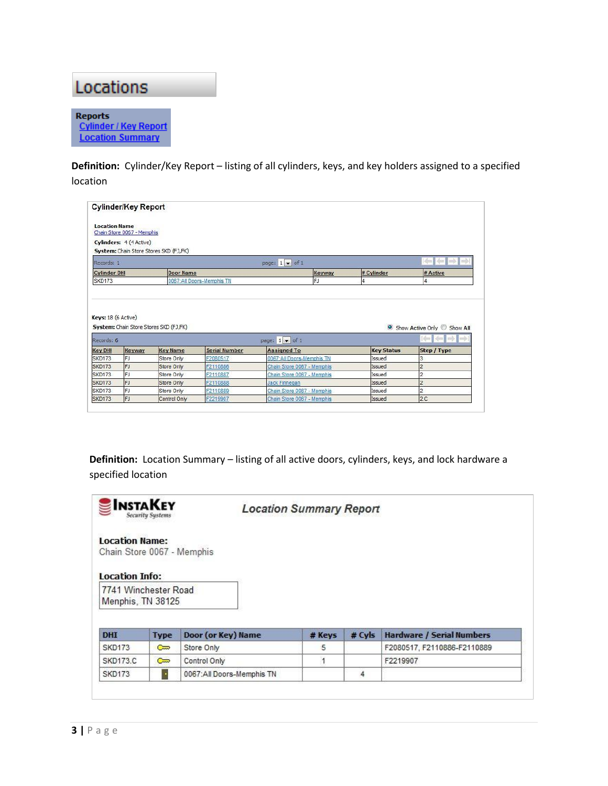

**Definition:** Cylinder/Key Report – listing of all cylinders, keys, and key holders assigned to a specified location

|                                                                                                                         | <b>Cylinder/Key Report</b> |                                        |                           |                                              |                   |                                                                 |
|-------------------------------------------------------------------------------------------------------------------------|----------------------------|----------------------------------------|---------------------------|----------------------------------------------|-------------------|-----------------------------------------------------------------|
| <b>Location Name</b>                                                                                                    | Chain Store 0067 - Memphis |                                        |                           |                                              |                   |                                                                 |
|                                                                                                                         | Cylinders: 4 (4 Active)    |                                        |                           |                                              |                   |                                                                 |
|                                                                                                                         |                            | System: Chain Store Stores SKD (FJ,FK) |                           |                                              |                   |                                                                 |
| Records: 1                                                                                                              |                            |                                        |                           | page: $1 \bullet$ of 1                       |                   | diam                                                            |
| <b>Cylinder DHI</b>                                                                                                     |                            | <b>Door Name</b>                       |                           | Keyway                                       | # Cylinder        | # Active                                                        |
| SKD173                                                                                                                  |                            |                                        | 0067:All Doors-Memphis TN | FJ                                           |                   |                                                                 |
|                                                                                                                         |                            |                                        |                           |                                              |                   |                                                                 |
|                                                                                                                         |                            | System: Chain Store Stores SKD (FJ,FK) |                           |                                              |                   | Show Active Only Show All<br>中国学<br><b>See I</b><br>$\equiv$ 20 |
|                                                                                                                         | Keyway                     | <b>Key Name</b>                        | <b>Serial Number</b>      | page: $1 \bullet$ of 1<br><b>Assigned To</b> | <b>Key Status</b> | Step / Type                                                     |
|                                                                                                                         | FJ                         | Store Only                             | F2080517                  | 0067:All Doors-Memphis TN                    | Issued            | 3                                                               |
|                                                                                                                         | FJ                         | Store Only                             | F2110886                  | Chain Store 0067 - Memphis                   | Issued            | 2                                                               |
|                                                                                                                         | FJ                         | Store Only                             | F2110887                  | Chain Store 0067 - Memphis                   | Issued            | $\overline{2}$                                                  |
| Keys: 18 (6 Active)<br>Records: 6<br><b>Key DHI</b><br><b>SKD173</b><br><b>SKD173</b><br><b>SKD173</b><br><b>SKD173</b> | FJ                         | Store Only                             | F2110888                  | <b>Jack Finnegan</b>                         | Issued            | $\overline{2}$                                                  |
| <b>SKD173</b>                                                                                                           | FJ                         | Store Only                             | F2110889                  | Chain Store 0067 - Memphis                   | Issued            | $\overline{2}$                                                  |

**Definition:** Location Summary – listing of all active doors, cylinders, keys, and lock hardware a specified location

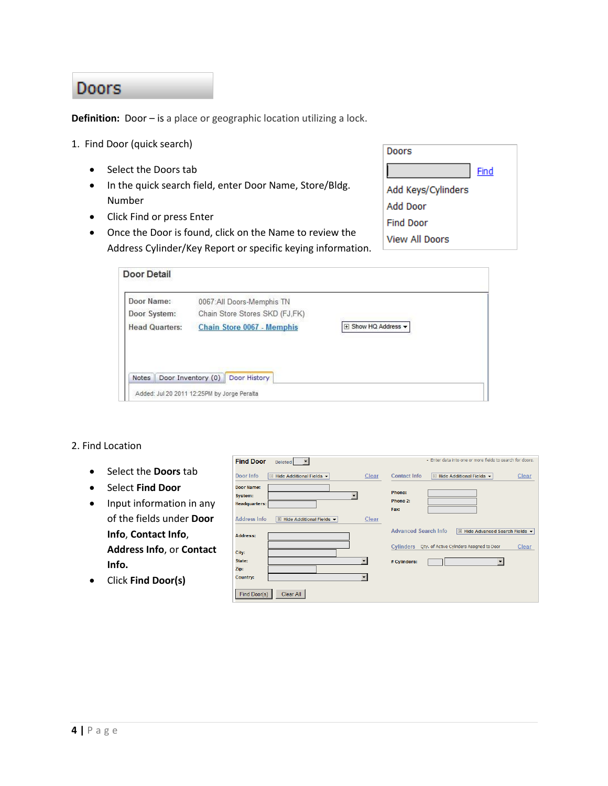### **Doors**

**Definition:** Door – is a place or geographic location utilizing a lock.

- 1. Find Door (quick search)
	- Select the Doors tab
	- In the quick search field, enter Door Name, Store/Bldg. Number
	- Click Find or press Enter
	- Once the Door is found, click on the Name to review the Address Cylinder/Key Report or specific keying information.

| Doors              |      |
|--------------------|------|
|                    | Find |
| Add Keys/Cylinders |      |
| Add Door           |      |
| Find Door          |      |
| View All Doors     |      |

| Door Name:            | 0067:All Doors-Memphis TN      |                     |  |
|-----------------------|--------------------------------|---------------------|--|
| Door System:          | Chain Store Stores SKD (FJ,FK) |                     |  |
| <b>Head Quarters:</b> | Chain Store 0067 - Memphis     | F Show HQ Address - |  |
|                       |                                |                     |  |
|                       |                                |                     |  |
|                       |                                |                     |  |
|                       |                                |                     |  |

#### 2. Find Location

- Select the **Doors** tab
- Select **Find Door**
- Input information in any of the fields under **Door Info**, **Contact Info**, **Address Info**, or **Contact Info.**
- Click **Find Door(s)**

| Door Info                                            | $\Box$ Hide Additional Fields $\blacktriangleright$ | Clear | Contact Info<br>$\Box$ Hide Additional Fields $\blacktriangleright$<br>Clear            |
|------------------------------------------------------|-----------------------------------------------------|-------|-----------------------------------------------------------------------------------------|
| <b>Door Name:</b><br>System:<br><b>Headquarters:</b> |                                                     | ▼     | Phone:<br>Phone 2:<br>Fax:                                                              |
| <b>Address Info</b>                                  | □ Hide Additional Fields ▼                          | Clear |                                                                                         |
| <b>Address:</b>                                      |                                                     |       | <b>Advanced Search Info</b><br>$\Box$ Hide Advanced Search Fields $\blacktriangleright$ |
| City:                                                |                                                     |       | Oty. of Active Cylinders Assigned to Door<br>Cylinders<br>Clear                         |
| State:                                               |                                                     | ▼     | # Cylinders:                                                                            |
| Zip:                                                 |                                                     |       |                                                                                         |
| <b>Country:</b>                                      |                                                     |       |                                                                                         |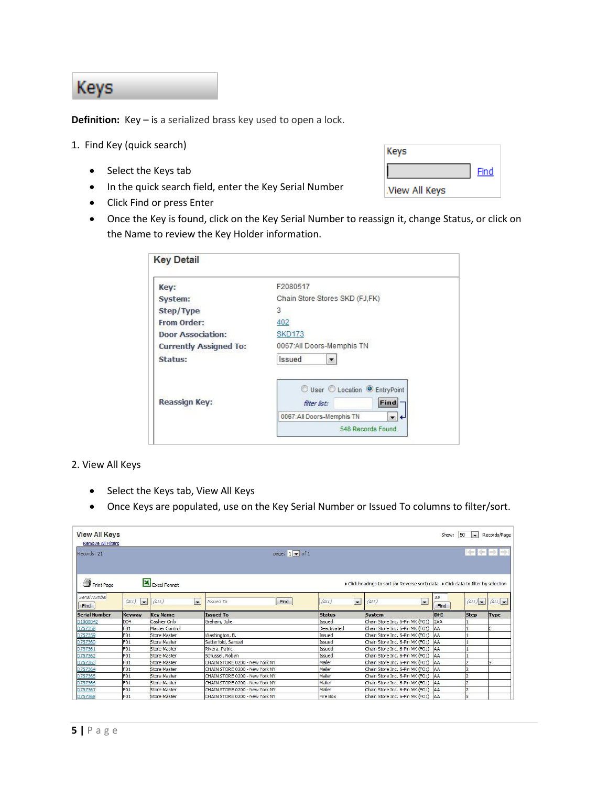## **Keys**

**Definition:** Key – is a serialized brass key used to open a lock.

- 1. Find Key (quick search)
	- Select the Keys tab
	- In the quick search field, enter the Key Serial Number
	- Click Find or press Enter

| Keys          |             |
|---------------|-------------|
|               | <b>Find</b> |
| View All Keys |             |

 Once the Key is found, click on the Key Serial Number to reassign it, change Status, or click on the Name to review the Key Holder information.

| Key:                          | F2080517                                             |
|-------------------------------|------------------------------------------------------|
| System:                       | Chain Store Stores SKD (FJ,FK)                       |
| Step/Type                     | 3                                                    |
| From Order:                   | 402                                                  |
| <b>Door Association:</b>      | <b>SKD173</b>                                        |
| <b>Currently Assigned To:</b> | 0067:All Doors-Memphis TN                            |
| Status:                       | <b>Issued</b>                                        |
| <b>Reassign Key:</b>          | User C Location C EntryPoint<br>Find<br>filter list: |
|                               | 0067:All Doors-Memphis TN<br>▾+                      |
|                               | 548 Records Found.                                   |

2. View All Keys

- Select the Keys tab, View All Keys
- Once Keys are populated, use on the Key Serial Number or Issued To columns to filter/sort.

| <b>View All Keys</b><br><b>Remove All Filters</b> |                         |                                   |                                |                    |                                                                                   | Show:<br>50<br>$\bullet$    | Records/Page   |
|---------------------------------------------------|-------------------------|-----------------------------------|--------------------------------|--------------------|-----------------------------------------------------------------------------------|-----------------------------|----------------|
| Records: 21                                       |                         |                                   | page: $1 - of 1$               |                    |                                                                                   |                             | ⊫ख़ऻ≑∎         |
| Print Page                                        |                         | Excel Format                      |                                |                    | Click headings to sort (or Reverse sort) data > Click data to filter by selection |                             |                |
| Serial Number<br>Find                             | $\blacksquare$<br>(ALL) | $\overline{\phantom{a}}$<br>(ALL) | Find<br>Issued To              | $\bullet$<br>(ALL) | $\overline{\phantom{0}}$<br>(ALL)                                                 | $\partial \partial$<br>Find | (ALL)<br>(ALL) |
| <b>Serial Number</b>                              | Keyway                  | <b>Key Name</b>                   | <b>Issued To</b>               | <b>Status</b>      | <b>System</b>                                                                     | <b>Step</b><br><b>DHI</b>   | <b>Type</b>    |
| D1000042                                          | D <sub>04</sub>         | Cashier Only                      | Graham, Julie                  | Issued             | Chain Store Inc. 6-Pin MK (F01)                                                   | 2AA                         |                |
| D757358                                           | F <sub>01</sub>         | Master Control                    |                                | Deactivated        | Chain Store Inc. 6-Pin MK (F01)   AA                                              |                             |                |
| D757359                                           | F <sub>01</sub>         | <b>Store Master</b>               | Washington, B.                 | Issued             | Chain Store Inc. 6-Pin MK (F01) AA                                                |                             |                |
| D757360                                           | F <sub>01</sub>         | <b>Store Master</b>               | Satterfold, Samuel             | Issued             | Chain Store Inc. 6-Pin MK (F01) AA                                                |                             |                |
| D757361                                           | F <sub>01</sub>         | <b>Store Master</b>               | Rivera, Patric                 | Issued             | Chain Store Inc. 6-Pin MK (F01)                                                   | AA                          |                |
| D757362                                           | F <sub>01</sub>         | <b>Store Master</b>               | Schussel, Robyn                | Issued             | Chain Store Inc. 6-Pin MK (F01)                                                   | <b>AA</b>                   |                |
| D757363                                           | F <sub>01</sub>         | <b>Store Master</b>               | CHAIN STORE 0200 - New York NY | Mailer             | Chain Store Inc. 6-Pin MK (F01)                                                   | AA                          |                |
| D757364                                           | F <sub>01</sub>         | <b>Store Master</b>               | CHAIN STORE 0200 - New York NY | Mailer             | Chain Store Inc. 6-Pin MK (F01) AA                                                |                             |                |
| D757365                                           | F <sub>01</sub>         | <b>Store Master</b>               | CHAIN STORE 0200 - New York NY | Mailer             | Chain Store Inc. 6-Pin MK (F01)                                                   | AA                          |                |
| D757366                                           | F <sub>01</sub>         | <b>Store Master</b>               | CHAIN STORE 0200 - New York NY | Mailer             | Chain Store Inc. 6-Pin MK (F01) AA                                                |                             |                |
| D757367                                           | F <sub>01</sub>         | Store Master                      | CHAIN STORE 0200 - New York NY | Mailer             | Chain Store Inc. 6-Pin MK (F01)                                                   | AA                          |                |
| D757368                                           | F <sub>01</sub>         | <b>Store Master</b>               | CHAIN STORE 0200 - New York NY | Fire Box           | Chain Store Inc. 6-Pin MK (F01) AA                                                |                             |                |